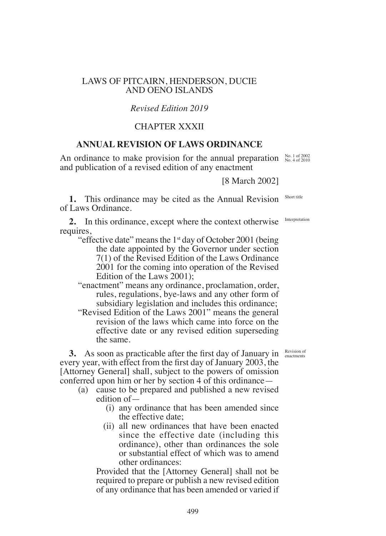## LAWS OF PITCAIRN, HENDERSON, DUCIE AND OENO ISLANDS

# *Revised Edition 2019*

# CHAPTER XXXII

# **ANNUAL REVISION OF LAWS ORDINANCE**

An ordinance to make provision for the annual preparation  $\frac{N_{0.1}}{N_{0.4}}$  of 2002 and publication of a revised edition of any enactment

[8 March 2002]

**1.** This ordinance may be cited as the Annual Revision of Laws Ordinance.

**2.** In this ordinance, except where the context otherwise requires,

- "effective date" means the  $1<sup>st</sup>$  day of October 2001 (being the date appointed by the Governor under section 7(1) of the Revised Edition of the Laws Ordinance 2001 for the coming into operation of the Revised Edition of the Laws 2001);
- "enactment" means any ordinance, proclamation, order, rules, regulations, bye-laws and any other form of subsidiary legislation and includes this ordinance;
- "Revised Edition of the Laws 2001" means the general revision of the laws which came into force on the effective date or any revised edition superseding the same.

**3.** As soon as practicable after the first day of January in every year, with effect from the first day of January  $2003$ , the [Attorney General] shall, subject to the powers of omission conferred upon him or her by section 4 of this ordinance—

- (a) cause to be prepared and published a new revised edition of—
	- (i) any ordinance that has been amended since the effective date;
	- (ii) all new ordinances that have been enacted since the effective date (including this ordinance), other than ordinances the sole or substantial effect of which was to amend other ordinances:

Provided that the [Attorney General] shall not be required to prepare or publish a new revised edition of any ordinance that has been amended or varied if

Revision of enactments

Short title

Interpretation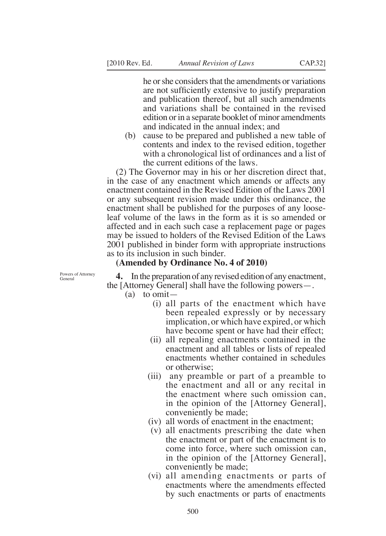he or she considers that the amendments or variations are not sufficiently extensive to justify preparation and publication thereof, but all such amendments and variations shall be contained in the revised edition or in a separate booklet of minor amendments and indicated in the annual index; and

(b) cause to be prepared and published a new table of contents and index to the revised edition, together with a chronological list of ordinances and a list of the current editions of the laws.

 $(2)$  The Governor may in his or her discretion direct that, in the case of any enactment which amends or affects any enactment contained in the Revised Edition of the Laws 2001 or any subsequent revision made under this ordinance, the enactment shall be published for the purposes of any looseleaf volume of the laws in the form as it is so amended or affected and in each such case a replacement page or pages may be issued to holders of the Revised Edition of the Laws 2001 published in binder form with appropriate instructions as to its inclusion in such binder.

### **(Amended by Ordinance No. 4 of 2010)**

Powers of Attorney General

**4.** In the preparation of any revised edition of any enactment, the  $[Attorney General]$  shall have the following powers—.

- $(a)$  to omit—
	- (i) all parts of the enactment which have been repealed expressly or by necessary implication, or which have expired, or which have become spent or have had their effect;
	- (ii) all repealing enactments contained in the enactment and all tables or lists of repealed enactments whether contained in schedules or otherwise;
	- (iii) any preamble or part of a preamble to the enactment and all or any recital in the enactment where such omission can, in the opinion of the [Attorney General], conveniently be made;
	- (iv) all words of enactment in the enactment;
	- (v) all enactments prescribing the date when the enactment or part of the enactment is to come into force, where such omission can, in the opinion of the [Attorney General], conveniently be made;
	- (vi) all amending enactments or parts of enactments where the amendments effected by such enactments or parts of enactments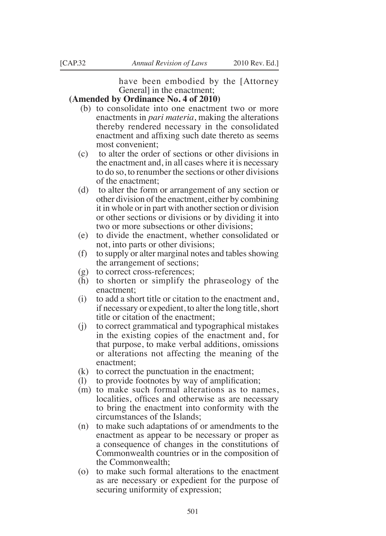have been embodied by the [Attorney General in the enactment;

## **(Amended by Ordinance No. 4 of 2010)**

- (b) to consolidate into one enactment two or more enactments in *pari materia*, making the alterations thereby rendered necessary in the consolidated enactment and affixing such date thereto as seems most convenient;
- (c) to alter the order of sections or other divisions in the enactment and, in all cases where it is necessary to do so, to renumber the sections or other divisions of the enactment;
- (d) to alter the form or arrangement of any section or other division of the enactment, either by combining it in whole or in part with another section or division or other sections or divisions or by dividing it into two or more subsections or other divisions;
- (e) to divide the enactment, whether consolidated or not, into parts or other divisions;
- (f) to supply or alter marginal notes and tables showing the arrangement of sections;
- (g) to correct cross-references;
- (h) to shorten or simplify the phraseology of the enactment;
- (i) to add a short title or citation to the enactment and, if necessary or expedient, to alter the long title, short title or citation of the enactment;
- (j) to correct grammatical and typographical mistakes in the existing copies of the enactment and, for that purpose, to make verbal additions, omissions or alterations not affecting the meaning of the enactment;
- (k) to correct the punctuation in the enactment;
- (1) to provide footnotes by way of amplification;
- (m) to make such formal alterations as to names, localities, offices and otherwise as are necessary to bring the enactment into conformity with the circumstances of the Islands;
- (n) to make such adaptations of or amendments to the enactment as appear to be necessary or proper as a consequence of changes in the constitutions of Commonwealth countries or in the composition of the Commonwealth;
- (o) to make such formal alterations to the enactment as are necessary or expedient for the purpose of securing uniformity of expression;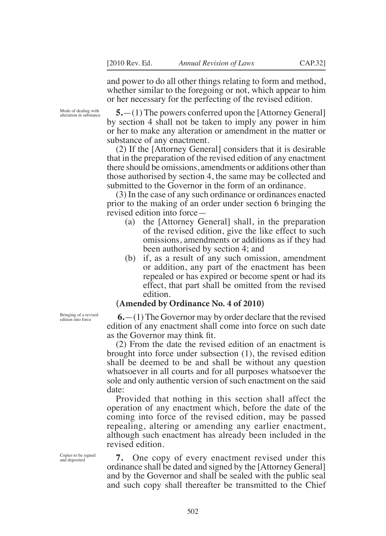and power to do all other things relating to form and method, whether similar to the foregoing or not, which appear to him or her necessary for the perfecting of the revised edition.

Mode of dealing with alteration in substance

 $5.$ —(1) The powers conferred upon the [Attorney General] by section 4 shall not be taken to imply any power in him or her to make any alteration or amendment in the matter or substance of any enactment.

 $(2)$  If the [Attorney General] considers that it is desirable that in the preparation of the revised edition of any enactment there should be omissions, amendments or additions other than those authorised by section 4, the same may be collected and submitted to the Governor in the form of an ordinance.

(3) In the case of any such ordinance or ordinances enacted prior to the making of an order under section 6 bringing the revised edition into force—

- (a) the  $[Attorney General]$  shall, in the preparation of the revised edition, give the like effect to such omissions, amendments or additions as if they had been authorised by section 4; and
- (b) if, as a result of any such omission, amendment or addition, any part of the enactment has been repealed or has expired or become spent or had its effect, that part shall be omitted from the revised edition.

### **(Amended by Ordinance No. 4 of 2010)**

 $6.$ — $(1)$  The Governor may by order declare that the revised edition of any enactment shall come into force on such date as the Governor may think fit.

(2) From the date the revised edition of an enactment is brought into force under subsection (1), the revised edition shall be deemed to be and shall be without any question whatsoever in all courts and for all purposes whatsoever the sole and only authentic version of such enactment on the said date:

Provided that nothing in this section shall affect the operation of any enactment which, before the date of the coming into force of the revised edition, may be passed repealing, altering or amending any earlier enactment, although such enactment has already been included in the revised edition.

**7.** One copy of every enactment revised under this ordinance shall be dated and signed by the [Attorney General] and by the Governor and shall be sealed with the public seal and such copy shall thereafter be transmitted to the Chief

Bringing of a revised edition into force

Copies to be signed and deposited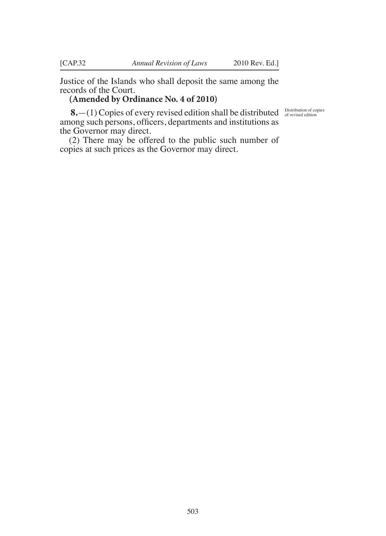Justice of the Islands who shall deposit the same among the records of the Court.

# **(Amended by Ordinance No. 4 of 2010)**

8. - (1) Copies of every revised edition shall be distributed **Distribution of copies** among such persons, officers, departments and institutions as the Governor may direct.

(2) There may be offered to the public such number of copies at such prices as the Governor may direct.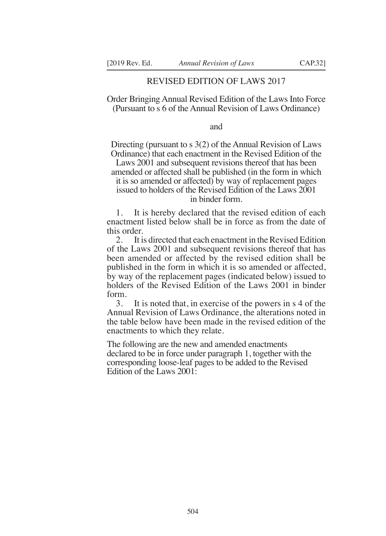### REVISED EDITION OF LAWS 2017

Order Bringing Annual Revised Edition of the Laws Into Force (Pursuant to s 6 of the Annual Revision of Laws Ordinance)

and

Directing (pursuant to s 3(2) of the Annual Revision of Laws Ordinance) that each enactment in the Revised Edition of the

Laws 2001 and subsequent revisions thereof that has been amended or affected shall be published (in the form in which it is so amended or affected) by way of replacement pages issued to holders of the Revised Edition of the Laws 2001 in binder form.

1. It is hereby declared that the revised edition of each enactment listed below shall be in force as from the date of this order.

2. It is directed that each enactment in the Revised Edition of the Laws 2001 and subsequent revisions thereof that has been amended or affected by the revised edition shall be published in the form in which it is so amended or affected, by way of the replacement pages (indicated below) issued to holders of the Revised Edition of the Laws 2001 in binder form.<br> $\frac{3}{3}$ .

It is noted that, in exercise of the powers in s 4 of the Annual Revision of Laws Ordinance, the alterations noted in the table below have been made in the revised edition of the enactments to which they relate.

The following are the new and amended enactments declared to be in force under paragraph 1, together with the corresponding loose-leaf pages to be added to the Revised Edition of the Laws 2001: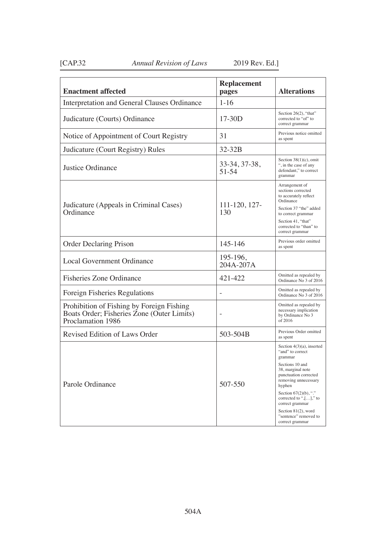# [CAP.32 *Annual Revision of Laws* 2019 Rev. Ed.]

| <b>Enactment affected</b>                                                                                    | <b>Replacement</b><br>pages | <b>Alterations</b>                                                                                                                                                                                                                                                                                             |
|--------------------------------------------------------------------------------------------------------------|-----------------------------|----------------------------------------------------------------------------------------------------------------------------------------------------------------------------------------------------------------------------------------------------------------------------------------------------------------|
| Interpretation and General Clauses Ordinance                                                                 | $1 - 16$                    |                                                                                                                                                                                                                                                                                                                |
| Judicature (Courts) Ordinance                                                                                | $17-30D$                    | Section 26(2), "that"<br>corrected to "of" to<br>correct grammar                                                                                                                                                                                                                                               |
| Notice of Appointment of Court Registry                                                                      | 31                          | Previous notice omitted<br>as spent                                                                                                                                                                                                                                                                            |
| Judicature (Court Registry) Rules                                                                            | 32-32B                      |                                                                                                                                                                                                                                                                                                                |
| Justice Ordinance                                                                                            | 33-34, 37-38,<br>$51 - 54$  | Section $38(1)(c)$ , omit<br>", in the case of any<br>defendant," to correct<br>grammar                                                                                                                                                                                                                        |
| Judicature (Appeals in Criminal Cases)<br>Ordinance                                                          | 111-120, 127-<br>130        | Arrangement of<br>sections corrected<br>to accurately reflect<br>Ordinance<br>Section 37 "the" added<br>to correct grammar<br>Section 41, "that"<br>corrected to "than" to<br>correct grammar                                                                                                                  |
| Order Declaring Prison                                                                                       | 145-146                     | Previous order omitted<br>as spent                                                                                                                                                                                                                                                                             |
| <b>Local Government Ordinance</b>                                                                            | 195-196,<br>204A-207A       |                                                                                                                                                                                                                                                                                                                |
| <b>Fisheries Zone Ordinance</b>                                                                              | 421-422                     | Omitted as repealed by<br>Ordinance No 3 of 2016                                                                                                                                                                                                                                                               |
| Foreign Fisheries Regulations                                                                                |                             | Omitted as repealed by<br>Ordinance No 3 of 2016                                                                                                                                                                                                                                                               |
| Prohibition of Fishing by Foreign Fishing<br>Boats Order; Fisheries Zone (Outer Limits)<br>Proclamation 1986 |                             | Omitted as repealed by<br>necessary implication<br>by Ordinance No 3<br>of 2016                                                                                                                                                                                                                                |
| Revised Edition of Laws Order                                                                                | 503-504B                    | Previous Order omitted<br>as spent                                                                                                                                                                                                                                                                             |
| Parole Ordinance                                                                                             | 507-550                     | Section $4(3)(a)$ , inserted<br>"and" to correct<br>grammar<br>Sections 10 and<br>38, marginal note<br>punctuation corrected<br>removing unnecessary<br>hyphen<br>Section $67(2)(b)$ , "."<br>corrected to ", $[]$ ," to<br>correct grammar<br>Section 81(2), word<br>"sentence" removed to<br>correct grammar |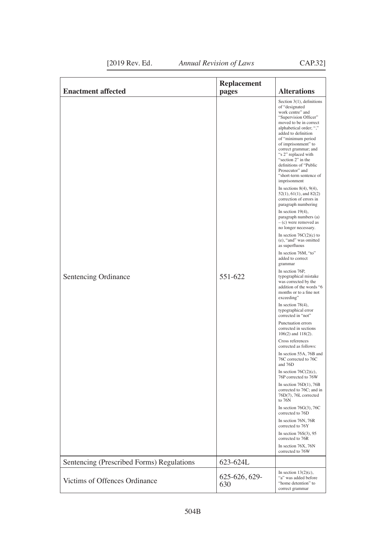| <b>Enactment affected</b>                 | <b>Replacement</b><br>pages | <b>Alterations</b>                                                                                                                                                                                                                                                                                                                                                                                                                                                                                                                                                                                                                                                                                                                                                                                                                                                                                                                                                                                                                                                                                                                                                                                                                                                                                                                                                                                                                                                                     |
|-------------------------------------------|-----------------------------|----------------------------------------------------------------------------------------------------------------------------------------------------------------------------------------------------------------------------------------------------------------------------------------------------------------------------------------------------------------------------------------------------------------------------------------------------------------------------------------------------------------------------------------------------------------------------------------------------------------------------------------------------------------------------------------------------------------------------------------------------------------------------------------------------------------------------------------------------------------------------------------------------------------------------------------------------------------------------------------------------------------------------------------------------------------------------------------------------------------------------------------------------------------------------------------------------------------------------------------------------------------------------------------------------------------------------------------------------------------------------------------------------------------------------------------------------------------------------------------|
| Sentencing Ordinance                      | 551-622                     | Section $3(1)$ , definitions<br>of "designated"<br>work centre" and<br>"Supervision Officer"<br>moved to be in correct<br>alphabetical order; ","<br>added to definition<br>of "minimum period<br>of imprisonment" to<br>correct grammar; and<br>"s 2" replaced with<br>"section 2" in the<br>definitions of "Public<br>Prosecutor" and<br>"short-term sentence of<br>imprisonment<br>In sections $8(4)$ , $9(4)$ ,<br>$52(1), 61(1),$ and $82(2)$<br>correction of errors in<br>paragraph numbering<br>In section $19(4)$ ,<br>paragraph numbers (a)<br>$-$ (c) were removed as<br>no longer necessary.<br>In section $76C(2)(c)$ to<br>(e), "and" was omitted<br>as superfluous<br>In section 76M, "to"<br>added to correct<br>grammar<br>In section 76P,<br>typographical mistake<br>was corrected by the<br>addition of the words "6<br>months or to a fine not<br>exceeding"<br>In section $78(4)$ ,<br>typographical error<br>corrected in "not"<br>Punctuation errors<br>corrected in sections<br>$106(2)$ and $118(2)$ .<br>Cross references<br>corrected as follows:<br>In section 55A, 76B and<br>76C corrected to 76C<br>and 76D<br>In section $76C(2)(c)$ ,<br>76P corrected to 76W<br>In section $76D(1)$ , $76B$<br>corrected to 76C; and in<br>76D(7), 76L corrected<br>to 76N<br>In section $76G(3)$ , $76C$<br>corrected to 76D<br>In section 76N, 76R<br>corrected to 76Y<br>In section $76S(3)$ , 95<br>corrected to 76R<br>In section 76X, 76N<br>corrected to 76W |
| Sentencing (Prescribed Forms) Regulations | 623-624L                    |                                                                                                                                                                                                                                                                                                                                                                                                                                                                                                                                                                                                                                                                                                                                                                                                                                                                                                                                                                                                                                                                                                                                                                                                                                                                                                                                                                                                                                                                                        |
| Victims of Offences Ordinance             | 625-626, 629-<br>630        | In section $13(2)(c)$ ,<br>"a" was added before<br>"home detention" to<br>correct grammar                                                                                                                                                                                                                                                                                                                                                                                                                                                                                                                                                                                                                                                                                                                                                                                                                                                                                                                                                                                                                                                                                                                                                                                                                                                                                                                                                                                              |

[2019 Rev. Ed. *Annual Revision of Laws* CAP.32]